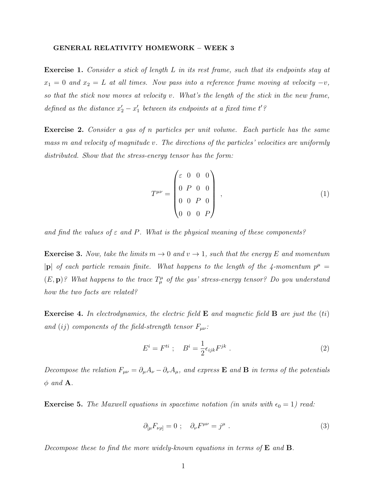## GENERAL RELATIVITY HOMEWORK – WEEK 3

Exercise 1. Consider a stick of length L in its rest frame, such that its endpoints stay at  $x_1 = 0$  and  $x_2 = L$  at all times. Now pass into a reference frame moving at velocity  $-v$ , so that the stick now moves at velocity v. What's the length of the stick in the new frame, defined as the distance  $x_2' - x_1'$  between its endpoints at a fixed time t'?

Exercise 2. Consider a gas of n particles per unit volume. Each particle has the same mass m and velocity of magnitude v. The directions of the particles' velocities are uniformly distributed. Show that the stress-energy tensor has the form:

$$
T^{\mu\nu} = \begin{pmatrix} \varepsilon & 0 & 0 & 0 \\ 0 & P & 0 & 0 \\ 0 & 0 & P & 0 \\ 0 & 0 & 0 & P \end{pmatrix} , \tag{1}
$$

and find the values of  $\varepsilon$  and P. What is the physical meaning of these components?

**Exercise 3.** Now, take the limits  $m \to 0$  and  $v \to 1$ , such that the energy E and momentum |p| of each particle remain finite. What happens to the length of the 4-momentum  $p^{\mu}$  =  $(E, \mathbf{p})$ ? What happens to the trace  $T^{\mu}_{\mu}$  of the gas' stress-energy tensor? Do you understand how the two facts are related?

**Exercise 4.** In electrodynamics, the electric field **E** and magnetic field **B** are just the (ti) and (ij) components of the field-strength tensor  $F_{\mu\nu}$ :

$$
E^i = F^{ti} \; ; \quad B^i = \frac{1}{2} \epsilon_{ijk} F^{jk} \; . \tag{2}
$$

Decompose the relation  $F_{\mu\nu} = \partial_{\mu}A_{\nu} - \partial_{\nu}A_{\mu}$ , and express **E** and **B** in terms of the potentials  $\phi$  and **A**.

**Exercise 5.** The Maxwell equations in spacetime notation (in units with  $\epsilon_0 = 1$ ) read:

$$
\partial_{\lbrack\mu}F_{\nu\rho]} = 0 \; ; \quad \partial_{\nu}F^{\mu\nu} = j^{\mu} \; . \tag{3}
$$

Decompose these to find the more widely-known equations in terms of  $E$  and  $B$ .